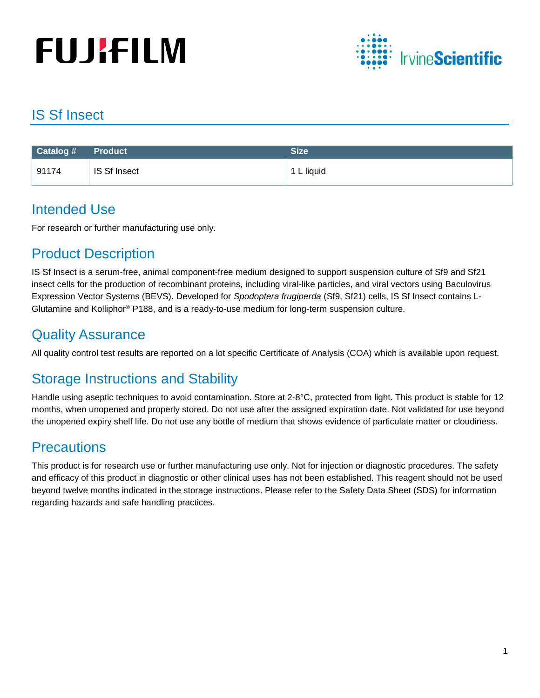# **FUJIFILM**



## IS Sf Insect

| $\sqrt{$ Catalog # $\sqrt{ }$ | Product      | <b>Size</b> |
|-------------------------------|--------------|-------------|
| 91174                         | IS Sf Insect | 1 L liquid  |

## Intended Use

For research or further manufacturing use only.

## Product Description

IS Sf Insect is a serum-free, animal component-free medium designed to support suspension culture of Sf9 and Sf21 insect cells for the production of recombinant proteins, including viral-like particles, and viral vectors using Baculovirus Expression Vector Systems (BEVS). Developed for *Spodoptera frugiperda* (Sf9, Sf21) cells, IS Sf Insect contains L-Glutamine and Kolliphor® P188, and is a ready-to-use medium for long-term suspension culture.

## Quality Assurance

All quality control test results are reported on a lot specific Certificate of Analysis (COA) which is available upon request.

## Storage Instructions and Stability

Handle using aseptic techniques to avoid contamination. Store at 2-8°C, protected from light. This product is stable for 12 months, when unopened and properly stored. Do not use after the assigned expiration date. Not validated for use beyond the unopened expiry shelf life. Do not use any bottle of medium that shows evidence of particulate matter or cloudiness.

## **Precautions**

This product is for research use or further manufacturing use only. Not for injection or diagnostic procedures. The safety and efficacy of this product in diagnostic or other clinical uses has not been established. This reagent should not be used beyond twelve months indicated in the storage instructions. Please refer to the Safety Data Sheet (SDS) for information regarding hazards and safe handling practices.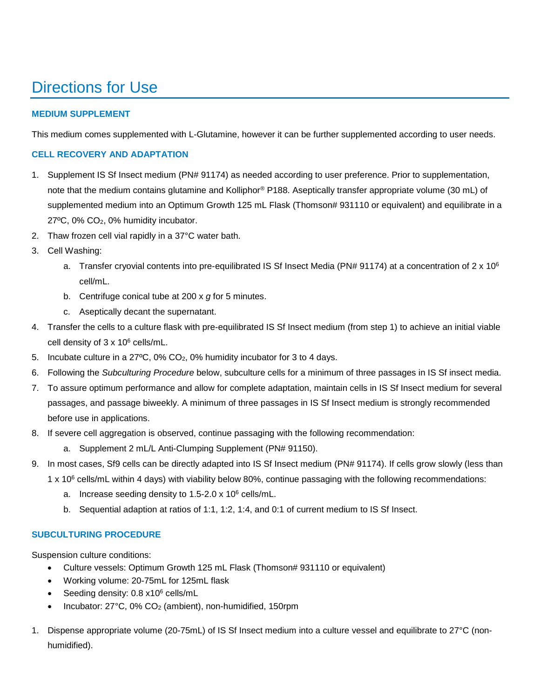# Directions for Use

#### **MEDIUM SUPPLEMENT**

This medium comes supplemented with L-Glutamine, however it can be further supplemented according to user needs.

#### **CELL RECOVERY AND ADAPTATION**

- 1. Supplement IS Sf Insect medium (PN# 91174) as needed according to user preference. Prior to supplementation, note that the medium contains glutamine and Kolliphor® P188. Aseptically transfer appropriate volume (30 mL) of supplemented medium into an Optimum Growth 125 mL Flask (Thomson# 931110 or equivalent) and equilibrate in a 27ºC, 0% CO2, 0% humidity incubator.
- 2. Thaw frozen cell vial rapidly in a 37°C water bath.
- 3. Cell Washing:
	- a. Transfer cryovial contents into pre-equilibrated IS Sf Insect Media (PN# 91174) at a concentration of  $2 \times 10^6$ cell/mL.
	- b. Centrifuge conical tube at 200 x *g* for 5 minutes.
	- c. Aseptically decant the supernatant.
- 4. Transfer the cells to a culture flask with pre-equilibrated IS Sf Insect medium (from step 1) to achieve an initial viable cell density of 3 x 10<sup>6</sup> cells/mL.
- 5. Incubate culture in a 27ºC, 0% CO2, 0% humidity incubator for 3 to 4 days.
- 6. Following the *Subculturing Procedure* below, subculture cells for a minimum of three passages in IS Sf insect media.
- 7. To assure optimum performance and allow for complete adaptation, maintain cells in IS Sf Insect medium for several passages, and passage biweekly. A minimum of three passages in IS Sf Insect medium is strongly recommended before use in applications.
- 8. If severe cell aggregation is observed, continue passaging with the following recommendation:
	- a. Supplement 2 mL/L Anti-Clumping Supplement (PN# 91150).
- 9. In most cases, Sf9 cells can be directly adapted into IS Sf Insect medium (PN# 91174). If cells grow slowly (less than
	- $1 \times 10^6$  cells/mL within 4 days) with viability below 80%, continue passaging with the following recommendations:
		- a. Increase seeding density to 1.5-2.0 x 106 cells/mL.
		- b. Sequential adaption at ratios of 1:1, 1:2, 1:4, and 0:1 of current medium to IS Sf Insect.

#### **SUBCULTURING PROCEDURE**

Suspension culture conditions:

- Culture vessels: Optimum Growth 125 mL Flask (Thomson# 931110 or equivalent)
- Working volume: 20-75mL for 125mL flask
- Seeding density: 0.8 x10<sup>6</sup> cells/mL
- Incubator: 27°C, 0% CO2 (ambient), non-humidified, 150rpm
- 1. Dispense appropriate volume (20-75mL) of IS Sf Insect medium into a culture vessel and equilibrate to 27°C (nonhumidified).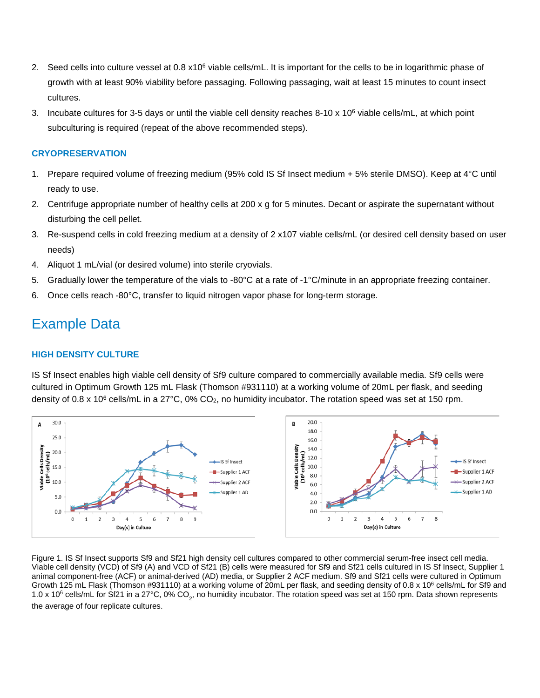- 2. Seed cells into culture vessel at 0.8 x10<sup>6</sup> viable cells/mL. It is important for the cells to be in logarithmic phase of growth with at least 90% viability before passaging. Following passaging, wait at least 15 minutes to count insect cultures.
- 3. Incubate cultures for 3-5 days or until the viable cell density reaches  $8-10 \times 10^6$  viable cells/mL, at which point subculturing is required (repeat of the above recommended steps).

#### **CRYOPRESERVATION**

- 1. Prepare required volume of freezing medium (95% cold IS Sf Insect medium + 5% sterile DMSO). Keep at 4°C until ready to use.
- 2. Centrifuge appropriate number of healthy cells at 200 x g for 5 minutes. Decant or aspirate the supernatant without disturbing the cell pellet.
- 3. Re-suspend cells in cold freezing medium at a density of 2 x107 viable cells/mL (or desired cell density based on user needs)
- 4. Aliquot 1 mL/vial (or desired volume) into sterile cryovials.
- 5. Gradually lower the temperature of the vials to -80°C at a rate of -1°C/minute in an appropriate freezing container.
- 6. Once cells reach -80°C, transfer to liquid nitrogen vapor phase for long-term storage.

### Example Data

#### **HIGH DENSITY CULTURE**

IS Sf Insect enables high viable cell density of Sf9 culture compared to commercially available media. Sf9 cells were cultured in Optimum Growth 125 mL Flask (Thomson #931110) at a working volume of 20mL per flask, and seeding density of 0.8 x 10<sup>6</sup> cells/mL in a 27°C, 0% CO<sub>2</sub>, no humidity incubator. The rotation speed was set at 150 rpm.



Figure 1. IS Sf Insect supports Sf9 and Sf21 high density cell cultures compared to other commercial serum-free insect cell media. Viable cell density (VCD) of Sf9 (A) and VCD of Sf21 (B) cells were measured for Sf9 and Sf21 cells cultured in IS Sf Insect, Supplier 1 animal component-free (ACF) or animal-derived (AD) media, or Supplier 2 ACF medium. Sf9 and Sf21 cells were cultured in Optimum Growth 125 mL Flask (Thomson #931110) at a working volume of 20mL per flask, and seeding density of 0.8 x 10<sup>6</sup> cells/mL for Sf9 and 1.0 x 10<sup>6</sup> cells/mL for Sf21 in a 27°C, 0% CO<sub>2</sub>, no humidity incubator. The rotation speed was set at 150 rpm. Data shown represents the average of four replicate cultures.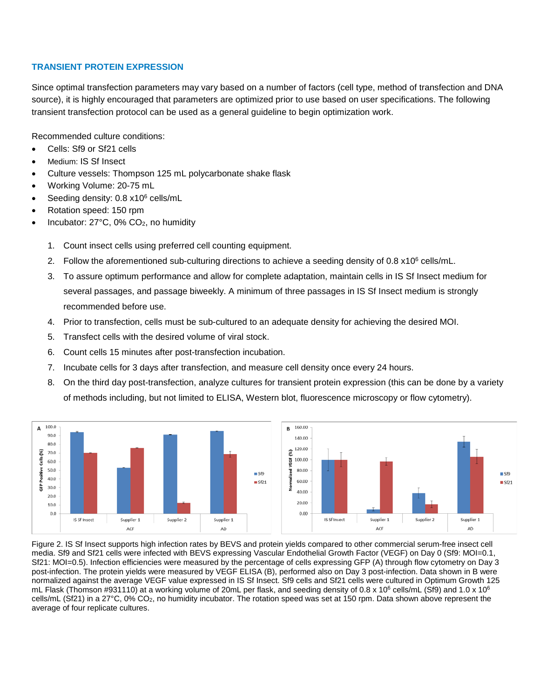#### **TRANSIENT PROTEIN EXPRESSION**

Since optimal transfection parameters may vary based on a number of factors (cell type, method of transfection and DNA source), it is highly encouraged that parameters are optimized prior to use based on user specifications. The following transient transfection protocol can be used as a general guideline to begin optimization work.

Recommended culture conditions:

- Cells: Sf9 or Sf21 cells
- Medium: IS Sf Insect
- Culture vessels: Thompson 125 mL polycarbonate shake flask
- Working Volume: 20-75 mL
- Seeding density: 0.8 x10<sup>6</sup> cells/mL
- Rotation speed: 150 rpm
- Incubator: 27°C, 0% CO2, no humidity
	- 1. Count insect cells using preferred cell counting equipment.
	- 2. Follow the aforementioned sub-culturing directions to achieve a seeding density of 0.8 x10<sup>6</sup> cells/mL.
	- 3. To assure optimum performance and allow for complete adaptation, maintain cells in IS Sf Insect medium for several passages, and passage biweekly. A minimum of three passages in IS Sf Insect medium is strongly recommended before use.
	- 4. Prior to transfection, cells must be sub-cultured to an adequate density for achieving the desired MOI.
	- 5. Transfect cells with the desired volume of viral stock.
	- 6. Count cells 15 minutes after post-transfection incubation.
	- 7. Incubate cells for 3 days after transfection, and measure cell density once every 24 hours.
	- 8. On the third day post-transfection, analyze cultures for transient protein expression (this can be done by a variety of methods including, but not limited to ELISA, Western blot, fluorescence microscopy or flow cytometry).



Figure 2. IS Sf Insect supports high infection rates by BEVS and protein yields compared to other commercial serum-free insect cell media. Sf9 and Sf21 cells were infected with BEVS expressing Vascular Endothelial Growth Factor (VEGF) on Day 0 (Sf9: MOI=0.1, Sf21: MOI=0.5). Infection efficiencies were measured by the percentage of cells expressing GFP (A) through flow cytometry on Day 3 post-infection. The protein yields were measured by VEGF ELISA (B), performed also on Day 3 post-infection. Data shown in B were normalized against the average VEGF value expressed in IS Sf Insect. Sf9 cells and Sf21 cells were cultured in Optimum Growth 125 mL Flask (Thomson #931110) at a working volume of 20mL per flask, and seeding density of 0.8 x 10<sup>6</sup> cells/mL (Sf9) and 1.0 x 10<sup>6</sup> cells/mL (Sf21) in a 27°C, 0% CO2, no humidity incubator. The rotation speed was set at 150 rpm. Data shown above represent the average of four replicate cultures.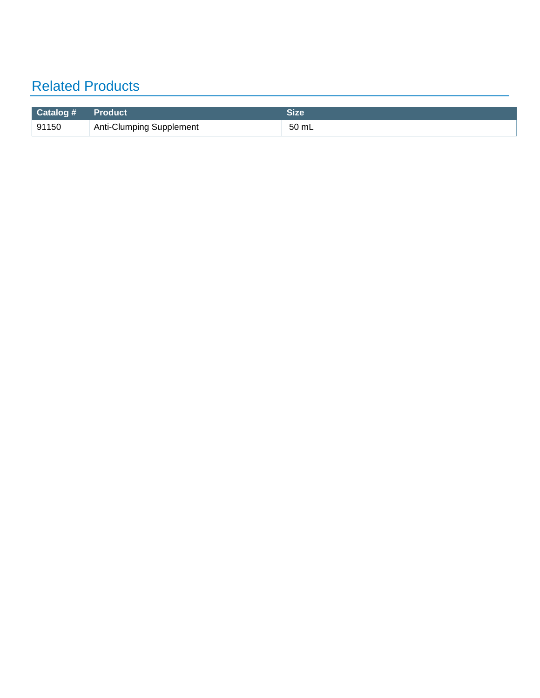## Related Products

| $\blacksquare$ Catalog # | Product <sup>1</sup>            | Size  |
|--------------------------|---------------------------------|-------|
| 91150                    | <b>Anti-Clumping Supplement</b> | 50 mL |